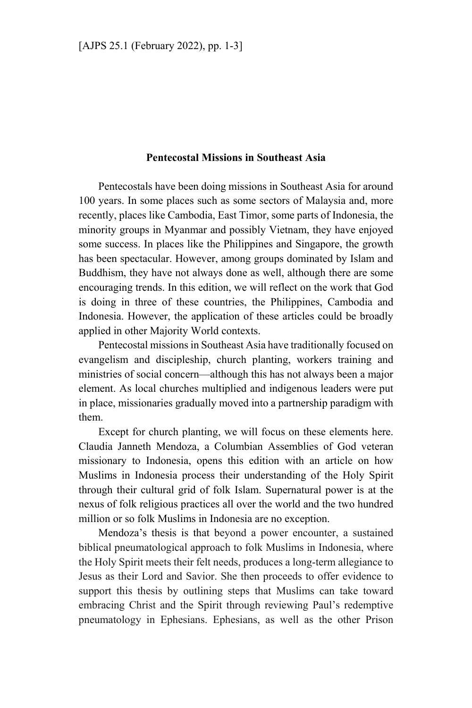## **Pentecostal Missions in Southeast Asia**

Pentecostals have been doing missions in Southeast Asia for around 100 years. In some places such as some sectors of Malaysia and, more recently, places like Cambodia, East Timor, some parts of Indonesia, the minority groups in Myanmar and possibly Vietnam, they have enjoyed some success. In places like the Philippines and Singapore, the growth has been spectacular. However, among groups dominated by Islam and Buddhism, they have not always done as well, although there are some encouraging trends. In this edition, we will reflect on the work that God is doing in three of these countries, the Philippines, Cambodia and Indonesia. However, the application of these articles could be broadly applied in other Majority World contexts.

Pentecostal missions in Southeast Asia have traditionally focused on evangelism and discipleship, church planting, workers training and ministries of social concern—although this has not always been a major element. As local churches multiplied and indigenous leaders were put in place, missionaries gradually moved into a partnership paradigm with them.

Except for church planting, we will focus on these elements here. Claudia Janneth Mendoza, a Columbian Assemblies of God veteran missionary to Indonesia, opens this edition with an article on how Muslims in Indonesia process their understanding of the Holy Spirit through their cultural grid of folk Islam. Supernatural power is at the nexus of folk religious practices all over the world and the two hundred million or so folk Muslims in Indonesia are no exception.

Mendoza's thesis is that beyond a power encounter, a sustained biblical pneumatological approach to folk Muslims in Indonesia, where the Holy Spirit meets their felt needs, produces a long-term allegiance to Jesus as their Lord and Savior. She then proceeds to offer evidence to support this thesis by outlining steps that Muslims can take toward embracing Christ and the Spirit through reviewing Paul's redemptive pneumatology in Ephesians. Ephesians, as well as the other Prison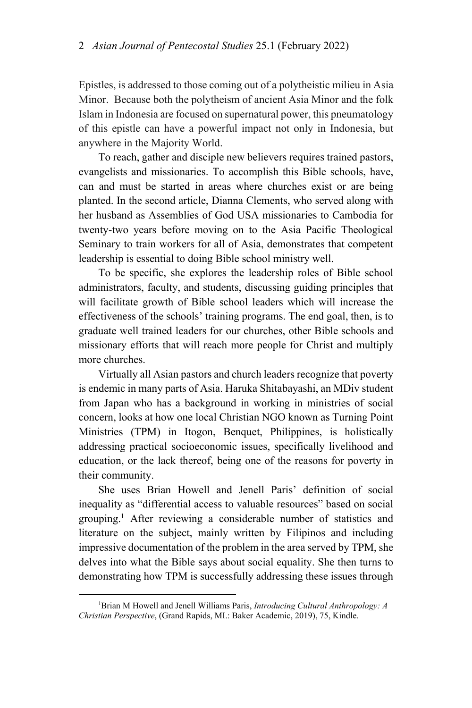Epistles, is addressed to those coming out of a polytheistic milieu in Asia Minor. Because both the polytheism of ancient Asia Minor and the folk Islam in Indonesia are focused on supernatural power, this pneumatology of this epistle can have a powerful impact not only in Indonesia, but anywhere in the Majority World.

To reach, gather and disciple new believers requires trained pastors, evangelists and missionaries. To accomplish this Bible schools, have, can and must be started in areas where churches exist or are being planted. In the second article, Dianna Clements, who served along with her husband as Assemblies of God USA missionaries to Cambodia for twenty-two years before moving on to the Asia Pacific Theological Seminary to train workers for all of Asia, demonstrates that competent leadership is essential to doing Bible school ministry well.

To be specific, she explores the leadership roles of Bible school administrators, faculty, and students, discussing guiding principles that will facilitate growth of Bible school leaders which will increase the effectiveness of the schools' training programs. The end goal, then, is to graduate well trained leaders for our churches, other Bible schools and missionary efforts that will reach more people for Christ and multiply more churches.

Virtually all Asian pastors and church leaders recognize that poverty is endemic in many parts of Asia. Haruka Shitabayashi, an MDiv student from Japan who has a background in working in ministries of social concern, looks at how one local Christian NGO known as Turning Point Ministries (TPM) in Itogon, Benquet, Philippines, is holistically addressing practical socioeconomic issues, specifically livelihood and education, or the lack thereof, being one of the reasons for poverty in their community.

She uses Brian Howell and Jenell Paris' definition of social inequality as "differential access to valuable resources" based on social grouping.<sup>1</sup> After reviewing a considerable number of statistics and literature on the subject, mainly written by Filipinos and including impressive documentation of the problem in the area served by TPM, she delves into what the Bible says about social equality. She then turns to demonstrating how TPM is successfully addressing these issues through

 $\overline{\phantom{a}}$ 

<sup>1</sup> Brian M Howell and Jenell Williams Paris, *Introducing Cultural Anthropology: A Christian Perspective*, (Grand Rapids, MI.: Baker Academic, 2019), 75, Kindle.